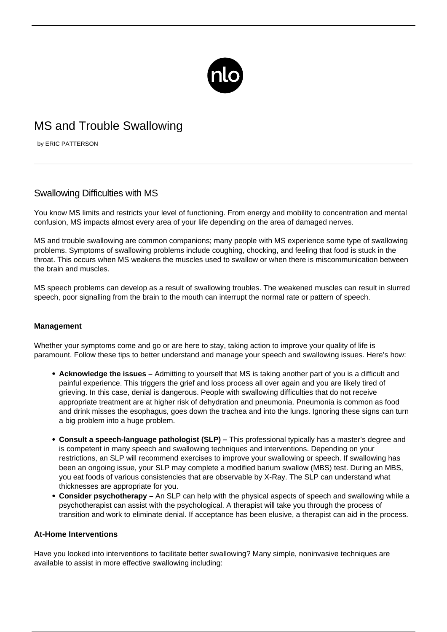

# MS and Trouble Swallowing

by ERIC PATTERSON

## Swallowing Difficulties with MS

You know MS limits and restricts your level of functioning. From energy and mobility to concentration and mental confusion, MS impacts almost every area of your life depending on the area of damaged nerves.

MS and trouble swallowing are common companions; many people with MS experience some type of swallowing problems. Symptoms of swallowing problems include coughing, chocking, and feeling that food is stuck in the throat. This occurs when MS weakens the muscles used to swallow or when there is miscommunication between the brain and muscles.

[MS speech problems](/does-speech-therapy-help/) can develop as a result of swallowing troubles. The weakened muscles can result in slurred speech, poor signalling from the brain to the mouth can interrupt the normal rate or pattern of speech.

### **Management**

Whether your symptoms come and go or are here to stay, taking action to improve your quality of life is paramount. Follow these tips to better understand and manage your speech and swallowing issues. Here's how:

- **Acknowledge the issues –** Admitting to yourself that MS is taking another part of you is a difficult and painful experience. This triggers the grief and loss process all over again and you are likely tired of grieving. In this case, denial is dangerous. People with swallowing difficulties that do not receive appropriate treatment are at higher risk of dehydration and pneumonia. Pneumonia is common as food and drink misses the esophagus, goes down the trachea and into the lungs. Ignoring these signs can turn a big problem into a huge problem.
- **Consult a speech-language pathologist (SLP) –** This professional typically has a master's degree and is competent in many speech and swallowing techniques and interventions. Depending on your restrictions, an SLP will recommend exercises to improve your swallowing or speech. If swallowing has been an ongoing issue, your SLP may complete a modified barium swallow (MBS) test. During an MBS, you eat foods of various consistencies that are observable by X-Ray. The SLP can understand what thicknesses are appropriate for you.
- **Consider psychotherapy –** An SLP can help with the physical aspects of speech and swallowing while a psychotherapist can assist with the psychological. A therapist will take you through the process of transition and work to eliminate denial. If acceptance has been elusive, a therapist can aid in the process.

### **At-Home Interventions**

Have you looked into interventions to facilitate better swallowing? Many simple, noninvasive techniques are available to assist in more effective swallowing including: